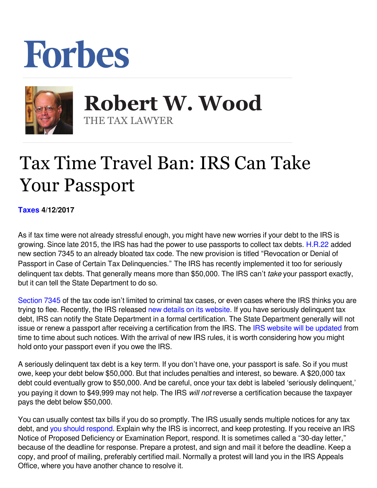## Forbes



 **Robert W. Wood** THE TAX LAWYER

## Tax Time Travel Ban: IRS Can Take Your Passport

**[Taxes](https://www.forbes.com/taxes) 4/12/2017** 

As if tax time were not already stressful enough, you might have new worries if your debt to the IRS is growing. Since late 2015, the IRS has had the power to use passports to collect tax debts. [H.R.22](https://www.congress.gov/bill/114th-congress/house-bill/22) added new section 7345 to an already bloated tax code. The new provision is titled "Revocation or Denial of Passport in Case of Certain Tax Delinquencies." The IRS has recently implemented it too for seriously delinquent tax debts. That generally means more than \$50,000. The IRS can't *take* your passport exactly, but it can tell the State Department to do so.

[Section 7345](http://uscode.house.gov/view.xhtml?req=(title:26%20section:7345%20edition:prelim)) of the tax code isn't limited to criminal tax cases, or even cases where the IRS thinks you are trying to flee. Recently, the IRS released [new details on its website.](https://www.irs.gov/businesses/small-businesses-self-employed/revocation-or-denial-of-passport-in-case-of-certain-unpaid-taxes) If you have seriously delinquent tax debt, IRS can notify the State Department in a formal certification. The State Department generally will not issue or renew a passport after receiving a certification from the IRS. The [IRS website will be updated](https://www.irs.gov/businesses/small-businesses-self-employed/revocation-or-denial-of-passport-in-case-of-certain-unpaid-taxes) from time to time about such notices. With the arrival of new IRS rules, it is worth considering how you might hold onto your passport even if you owe the IRS.

A seriously delinquent tax debt is a key term. If you don't have one, your passport is safe. So if you must owe, keep your debt below \$50,000. But that includes penalties and interest, so beware. A \$20,000 tax debt could eventually grow to \$50,000. And be careful, once your tax debt is labeled 'seriously delinquent,' you paying it down to \$49,999 may not help. The IRS will not reverse a certification because the taxpayer pays the debt below \$50,000.

You can usually contest tax bills if you do so promptly. The IRS usually sends multiple notices for any tax debt, and [you should respond](http://www.forbes.com/sites/robertwood/2016/02/24/how-to-respond-to-irs-very-carefully/#5b3984ba7023). Explain why the IRS is incorrect, and keep protesting. If you receive an IRS Notice of Proposed Deficiency or Examination Report, respond. It is sometimes called a "30-day letter," because of the deadline for response. Prepare a protest, and sign and mail it before the deadline. Keep a copy, and proof of mailing, preferably certified mail. Normally a protest will land you in the IRS Appeals Office, where you have another chance to resolve it.